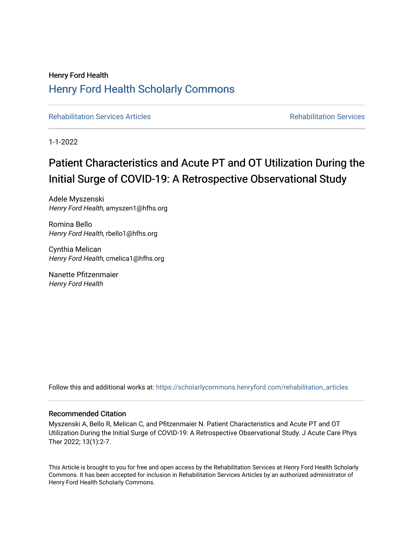# Henry Ford Health [Henry Ford Health Scholarly Commons](https://scholarlycommons.henryford.com/)

[Rehabilitation Services Articles](https://scholarlycommons.henryford.com/rehabilitation_articles) **Rehabilitation Services** Rehabilitation Services

1-1-2022

# Patient Characteristics and Acute PT and OT Utilization During the Initial Surge of COVID-19: A Retrospective Observational Study

Adele Myszenski Henry Ford Health, amyszen1@hfhs.org

Romina Bello Henry Ford Health, rbello1@hfhs.org

Cynthia Melican Henry Ford Health, cmelica1@hfhs.org

Nanette Pfitzenmaier Henry Ford Health

Follow this and additional works at: [https://scholarlycommons.henryford.com/rehabilitation\\_articles](https://scholarlycommons.henryford.com/rehabilitation_articles?utm_source=scholarlycommons.henryford.com%2Frehabilitation_articles%2F8&utm_medium=PDF&utm_campaign=PDFCoverPages)

#### Recommended Citation

Myszenski A, Bello R, Melican C, and Pfitzenmaier N. Patient Characteristics and Acute PT and OT Utilization During the Initial Surge of COVID-19: A Retrospective Observational Study. J Acute Care Phys Ther 2022; 13(1):2-7.

This Article is brought to you for free and open access by the Rehabilitation Services at Henry Ford Health Scholarly Commons. It has been accepted for inclusion in Rehabilitation Services Articles by an authorized administrator of Henry Ford Health Scholarly Commons.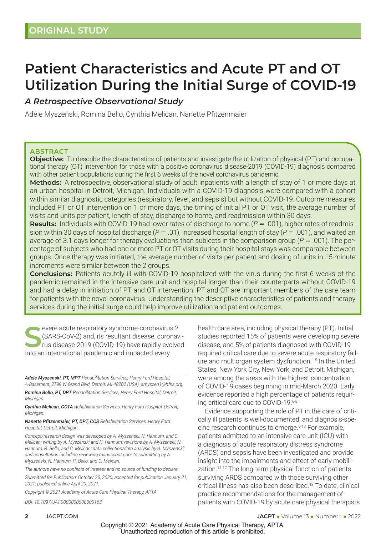# **Patient Characteristics and Acute PT and OT Utilization During the Initial Surge of COVID-19**

## *A Retrospective Observational Study*

Adele Myszenski, Romina Bello, Cynthia Melican, Nanette Pfitzenmaier

#### **ABSTRACT**

**Objective:** To describe the characteristics of patients and investigate the utilization of physical (PT) and occupational therapy (OT) intervention for those with a positive coronavirus disease-2019 (COVID-19) diagnosis compared with other patient populations during the first 6 weeks of the novel coronavirus pandemic.

**Methods:** A retrospective, observational study of adult inpatients with a length of stay of 1 or more days at an urban hospital in Detroit, Michigan. Individuals with a COVID-19 diagnosis were compared with a cohort within similar diagnostic categories (respiratory, fever, and sepsis) but without COVID-19. Outcome measures included PT or OT intervention on 1 or more days, the timing of initial PT or OT visit, the average number of visits and units per patient, length of stay, discharge to home, and readmission within 30 days.

**Results:** Individuals with COVID-19 had lower rates of discharge to home (*P* = .001), higher rates of readmission within 30 days of hospital discharge (*P* = .01), increased hospital length of stay (*P* = .001), and waited an average of 3.1 days longer for therapy evaluations than subjects in the comparison group (*P* = .001). The percentage of subjects who had one or more PT or OT visits during their hospital stays was comparable between groups. Once therapy was initiated, the average number of visits per patient and dosing of units in 15-minute increments were similar between the 2 groups.

**Conclusions:** Patients acutely ill with COVID-19 hospitalized with the virus during the first 6 weeks of the pandemic remained in the intensive care unit and hospital longer than their counterparts without COVID-19 and had a delay in initiation of PT and OT intervention. PT and OT are important members of the care team for patients with the novel coronavirus. Understanding the descriptive characteristics of patients and therapy services during the initial surge could help improve utilization and patient outcomes.

**S**evere acute respiratory syndrome-coronavirus 2 (SARS-CoV-2) and, its resultant disease, coronavirus disease-2019 (COVID-19) have rapidly evolved into an international pandemic and impacted every

*Adele Myszenski, PT, MPT Rehabilitation Services, Henry Ford Hospital, A-Basement, 2799 W Grand Blvd, Detroit, MI 48202 (USA). amyszen1@hfhs.org.*

*Romina Bello, PT, DPT Rehabilitation Services, Henry Ford Hospital, Detroit, Michigan.* 

*Cynthia Melican, COTA Rehabilitation Services, Henry Ford Hospital, Detroit, Michigan.*

*Nanette Pfitzenmaier, PT, DPT, CCS Rehabilitation Services, Henry Ford Hospital, Detroit, Michigan.*

*Concept/research design was developed by A. Myszenski, N. Hannum, and C. Melican; writing by A. Myszenski and N. Hannum; revisions by A. Myszenski, N. Hannum, R. Bello, and C. Melican; data collection/data analysis by A. Myszenski; and consultation including reviewing manuscript prior to submitting by A. Myszenski, N. Hannum, R. Bello, and C. Melican.*

*The authors have no conflicts of interest and no source of funding to declare.*

*Submitted for Publication: October 26, 2020; accepted for publication January 21, 2021; published online April 20, 2021.*

*Copyright © 2021 Academy of Acute Care Physical Therapy, APTA*

*DOI: 10.1097/JAT.0000000000000163*

health care area, including physical therapy (PT). Initial studies reported 15% of patients were developing severe disease, and 5% of patients diagnosed with COVID-19 required critical care due to severe acute respiratory failure and multiorgan system dysfunction.1-5 In the United States, New York City, New York, and Detroit, Michigan, were among the areas with the highest concentration of COVID-19 cases beginning in mid-March 2020. Early evidence reported a high percentage of patients requiring critical care due to COVID-19.6-8

Evidence supporting the role of PT in the care of critically ill patients is well-documented, and diagnosis-specific research continues to emerge.<sup>9-13</sup> For example, patients admitted to an intensive care unit (ICU) with a diagnosis of acute respiratory distress syndrome (ARDS) and sepsis have been investigated and provide insight into the impairments and effect of early mobilization.14-17 The long-term physical function of patients surviving ARDS compared with those surviving other critical illness has also been described.18 To date, clinical practice recommendations for the management of patients with COVID-19 by acute care physical therapists

**2 JACPT.COM JACPT.COM JACPT JACPT JACPT JACPT JACPT JACPT JACPT JACPT JACPT JACPT J** 

Copyright © 2021 Academy of Acute Care Physical Therapy, APTA. Unauthorized reproduction of this article is prohibited.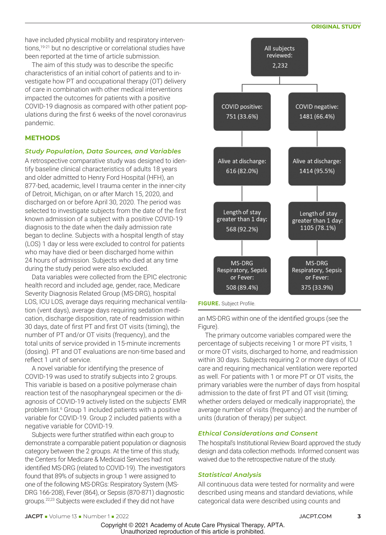#### **ORIGINAL STUDY**

have included physical mobility and respiratory interventions,19-21 but no descriptive or correlational studies have been reported at the time of article submission.

The aim of this study was to describe the specific characteristics of an initial cohort of patients and to investigate how PT and occupational therapy (OT) delivery of care in combination with other medical interventions impacted the outcomes for patients with a positive COVID-19 diagnosis as compared with other patient populations during the first 6 weeks of the novel coronavirus pandemic.

#### **METHODS**

#### *Study Population, Data Sources, and Variables*

A retrospective comparative study was designed to identify baseline clinical characteristics of adults 18 years and older admitted to Henry Ford Hospital (HFH), an 877-bed, academic, level I trauma center in the inner-city of Detroit, Michigan, on or after March 15, 2020, and discharged on or before April 30, 2020. The period was selected to investigate subjects from the date of the first known admission of a subject with a positive COVID-19 diagnosis to the date when the daily admission rate began to decline. Subjects with a hospital length of stay (LOS) 1 day or less were excluded to control for patients who may have died or been discharged home within 24 hours of admission. Subjects who died at any time during the study period were also excluded.

Data variables were collected from the EPIC electronic health record and included age, gender, race, Medicare Severity Diagnosis Related Group (MS-DRG), hospital LOS, ICU LOS, average days requiring mechanical ventilation (vent days), average days requiring sedation medication, discharge disposition, rate of readmission within 30 days, date of first PT and first OT visits (timing), the number of PT and/or OT visits (frequency), and the total units of service provided in 15-minute increments (dosing). PT and OT evaluations are non-time based and reflect 1 unit of service.

A novel variable for identifying the presence of COVID-19 was used to stratify subjects into 2 groups. This variable is based on a positive polymerase chain reaction test of the nasopharyngeal specimen or the diagnosis of COVID-19 actively listed on the subjects' EMR problem list.<sup>6</sup> Group 1 included patients with a positive variable for COVID-19. Group 2 included patients with a negative variable for COVID-19.

Subjects were further stratified within each group to demonstrate a comparable patient population or diagnosis category between the 2 groups. At the time of this study, the Centers for Medicare & Medicaid Services had not identified MS-DRG (related to COVID-19). The investigators found that 89% of subjects in group 1 were assigned to one of the following MS-DRGs: Respiratory System (MS-DRG 166-208), Fever (864), or Sepsis (870-871) diagnostic groups.22,23 Subjects were excluded if they did not have



an MS-DRG within one of the identified groups (see the Figure).

The primary outcome variables compared were the percentage of subjects receiving 1 or more PT visits, 1 or more OT visits, discharged to home, and readmission within 30 days. Subjects requiring 2 or more days of ICU care and requiring mechanical ventilation were reported as well. For patients with 1 or more PT or OT visits, the primary variables were the number of days from hospital admission to the date of first PT and OT visit (timing; whether orders delayed or medically inappropriate), the average number of visits (frequency) and the number of units (duration of therapy) per subject.

#### *Ethical Considerations and Consent*

The hospital's Institutional Review Board approved the study design and data collection methods. Informed consent was waived due to the retrospective nature of the study.

#### *Statistical Analysis*

All continuous data were tested for normality and were described using means and standard deviations, while categorical data were described using counts and

Copyright © 2021 Academy of Acute Care Physical Therapy, APTA. Unauthorized reproduction of this article is prohibited.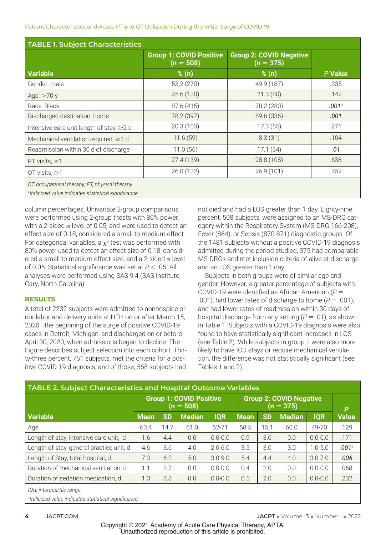Patient Characteristics and Acute PT and OT Utilization During the Initial Surge of COVID-19

| <b>TABLE 1. Subject Characteristics</b>                                                                              |                                               |                                               |         |  |  |  |  |  |  |
|----------------------------------------------------------------------------------------------------------------------|-----------------------------------------------|-----------------------------------------------|---------|--|--|--|--|--|--|
|                                                                                                                      | <b>Group 1: COVID Positive</b><br>$(n = 508)$ | <b>Group 2: COVID Negative</b><br>$(n = 375)$ |         |  |  |  |  |  |  |
| <b>Variable</b>                                                                                                      | % (n)                                         | % (n)                                         | P Value |  |  |  |  |  |  |
| Gender: male                                                                                                         | 53.2 (270)                                    | 49.9 (187)                                    | .335    |  |  |  |  |  |  |
| Age: $>70y$                                                                                                          | 25.6(130)                                     | 21.3(80)                                      | .142    |  |  |  |  |  |  |
| Race: Black                                                                                                          | 87.6 (415)                                    | 78.2 (280)                                    | .001a   |  |  |  |  |  |  |
| Discharged destination: home                                                                                         | 78.2 (397)                                    | 89.6 (336)                                    | .001    |  |  |  |  |  |  |
| Intensive care unit length of stay, $\geq 2$ d                                                                       | 20.3(103)                                     | 17.3(65)                                      | .271    |  |  |  |  |  |  |
| Mechanical ventilation required, $\geq 1$ d                                                                          | 11.6(59)                                      | 8.3(31)                                       | .104    |  |  |  |  |  |  |
| Readmission within 30 d of discharge                                                                                 | 11.0(56)                                      | 17.1(64)                                      | .01     |  |  |  |  |  |  |
| PT visits, $\geq$ 1                                                                                                  | 27.4(139)                                     | 28.8 (108)                                    | .638    |  |  |  |  |  |  |
| OT visits, $\geq$ 1                                                                                                  | 26.0(132)                                     | 26.9(101)                                     | .752    |  |  |  |  |  |  |
| OT, occupational therapy; PT, physical therapy.<br><sup>a</sup> ltalicized value indicates statistical significance. |                                               |                                               |         |  |  |  |  |  |  |

column percentages. Univariate 2-group comparisons were performed using 2-group *t* tests with 80% power, with a 2-sided  $\alpha$  level of 0.05, and were used to detect an effect size of 0.18, considered a small to medium effect. For categorical variables, a  $\chi^2$  test was performed with 80% power used to detect an effect size of 0.18, considered a small to medium effect size, and a 2-sided  $\alpha$  level of 0.05. Statistical significance was set at *P* < .05. All analyses were performed using SAS 9.4 (SAS Institute, Cary, North Carolina).

#### **RESULTS**

A total of 2232 subjects were admitted to nonhospice or nonlabor and delivery units at HFH on or after March 15, 2020—the beginning of the surge of positive COVID-19 cases in Detroit, Michigan, and discharged on or before April 30, 2020, when admissions began to decline. The Figure describes subject selection into each cohort. Thirty-three percent, 751 subjects, met the criteria for a positive COVID-19 diagnosis, and of those, 568 subjects had

not died and had a LOS greater than 1 day. Eighty-nine percent, 508 subjects, were assigned to an MS-DRG category within the Respiratory System (MS-DRG 166-208), Fever (864), or Sepsis (870-871) diagnostic groups. Of the 1481 subjects without a positive COVID-19 diagnosis admitted during the period studied, 375 had comparable MS-DRGs and met inclusion criteria of alive at discharge and an LOS greater than 1 day.

Subjects in both groups were of similar age and gender. However, a greater percentage of subjects with COVID-19 were identified as African American (*P* = .001), had lower rates of discharge to home  $(P = .001)$ , and had lower rates of readmission within 30 days of hospital discharge from any setting (*P* = .01), as shown in Table 1. Subjects with a COVID-19 diagnosis were also found to have statistically significant increases in LOS (see Table 2). While subjects in group 1 were also more likely to have ICU stays or require mechanical ventilation, the difference was not statistically significant (see Tables 1 and 2).

| <b>TABLE 2. Subject Characteristics and Hospital Outcome Variables</b> |                                               |           |               |             |                                |           |               |             |              |
|------------------------------------------------------------------------|-----------------------------------------------|-----------|---------------|-------------|--------------------------------|-----------|---------------|-------------|--------------|
|                                                                        | <b>Group 1: COVID Positive</b><br>$(n = 508)$ |           |               |             | <b>Group 2: COVID Negative</b> | P         |               |             |              |
| <b>Variable</b>                                                        | <b>Mean</b>                                   | <b>SD</b> | <b>Median</b> | <b>IQR</b>  | <b>Mean</b>                    | <b>SD</b> | <b>Median</b> | <b>IQR</b>  | <b>Value</b> |
| Age                                                                    | 60.4                                          | 14.7      | 61.0          | 52-71       | 58.5                           | 15.1      | 60.0          | 49-70       | .129         |
| Length of stay, intensive care unit, d                                 | 1.6                                           | 4.4       | 0.0           | $0.0 - 0.0$ | 0.9                            | 3.0       | 0.0           | $0.0 - 0.0$ | .171         |
| Length of stay, general practice unit, d                               | 4.6                                           | 3.6       | 4.0           | $2.0 - 6.0$ | 3.5                            | 3.0       | 3.0           | $1.0 - 5.0$ | .001a        |
| Length of Stay, total hospital, d                                      | 7.3                                           | 6.2       | 5.0           | $3.0 - 9.0$ | 5.4                            | 4.4       | 4.0           | $3.0 - 7.0$ | .006         |
| Duration of mechanical ventilation, d                                  | 1.1                                           | 3.7       | 0.0           | $0.0 - 0.0$ | 0.4                            | 2.0       | 0.0           | $0.0 - 0.0$ | .068         |
| Duration of sedation medication, d                                     | 1.0                                           | 3.3       | 0.0           | $0.0 - 0.0$ | 0.5                            | 2.0       | 0.0           | $0.0 - 0.0$ | .232         |
| IQR, interguartile range.                                              |                                               |           |               |             |                                |           |               |             |              |

*a Italicized value indicates statistical significance.*

Copyright © 2021 Academy of Acute Care Physical Therapy, APTA. Unauthorized reproduction of this article is prohibited.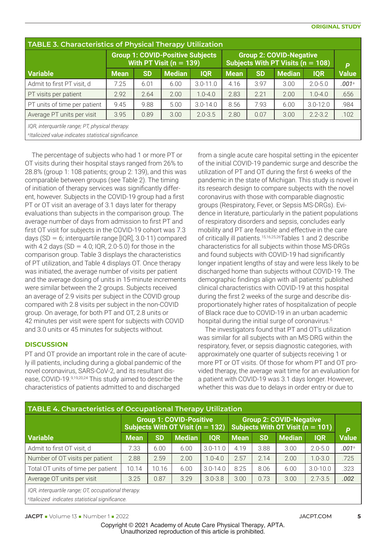| <b>TABLE 3. Characteristics of Physical Therapy Utilization</b>                                                      |             |           |                                                                        |              |                                                                       |           |               |              |              |
|----------------------------------------------------------------------------------------------------------------------|-------------|-----------|------------------------------------------------------------------------|--------------|-----------------------------------------------------------------------|-----------|---------------|--------------|--------------|
|                                                                                                                      |             |           | <b>Group 1: COVID-Positive Subjects</b><br>With PT Visit ( $n = 139$ ) |              | <b>Group 2: COVID-Negative</b><br>Subjects With PT Visits $(n = 108)$ | P         |               |              |              |
| <b>Variable</b>                                                                                                      | <b>Mean</b> | <b>SD</b> | <b>Median</b>                                                          | <b>IQR</b>   | <b>Mean</b>                                                           | <b>SD</b> | <b>Median</b> | <b>IQR</b>   | <b>Value</b> |
| Admit to first PT visit, d                                                                                           | 7.25        | 6.01      | 6.00                                                                   | $3.0 - 11.0$ | 4.16                                                                  | 3.97      | 3.00          | $2.0 - 5.0$  | .001a        |
| PT visits per patient                                                                                                | 2.92        | 2.64      | 2.00                                                                   | $1.0 - 4.0$  | 2.83                                                                  | 2.21      | 2.00          | $1.0 - 4.0$  | .656         |
| PT units of time per patient                                                                                         | 9.45        | 9.88      | 5.00                                                                   | $3.0 - 14.0$ | 8.56                                                                  | 7.93      | 6.00          | $3.0 - 12.0$ | .984         |
| Average PT units per visit                                                                                           | 3.95        | 0.89      | 3.00                                                                   | $2.0 - 3.5$  | 2.80                                                                  | 0.07      | 3.00          | $2.2 - 3.2$  | .102         |
| IQR, interguartile range; PT, physical therapy.<br><sup>a</sup> ltalicized value indicates statistical significance. |             |           |                                                                        |              |                                                                       |           |               |              |              |

The percentage of subjects who had 1 or more PT or OT visits during their hospital stays ranged from 26% to 28.8% (group 1: 108 patients; group 2: 139), and this was comparable between groups (see Table 2). The timing of initiation of therapy services was significantly different, however. Subjects in the COVID-19 group had a first PT or OT visit an average of 3.1 days later for therapy evaluations than subjects in the comparison group. The average number of days from admission to first PT and first OT visit for subjects in the COVID-19 cohort was 7.3 days (SD = 6; interquartile range [IQR], 3.0-11) compared with 4.2 days (SD = 4.0; IQR, 2.0-5.0) for those in the comparison group. Table 3 displays the characteristics of PT utilization, and Table 4 displays OT. Once therapy was initiated, the average number of visits per patient and the average dosing of units in 15-minute increments were similar between the 2 groups. Subjects received an average of 2.9 visits per subject in the COVID group compared with 2.8 visits per subject in the non-COVID group. On average, for both PT and OT, 2.8 units or 42 minutes per visit were spent for subjects with COVID and 3.0 units or 45 minutes for subjects without.

### **DISCUSSION**

PT and OT provide an important role in the care of acutely ill patients, including during a global pandemic of the novel coronavirus, SARS-CoV-2, and its resultant disease, COVID-19.9,19,20,24 This study aimed to describe the characteristics of patients admitted to and discharged

from a single acute care hospital setting in the epicenter of the initial COVID-19 pandemic surge and describe the utilization of PT and OT during the first 6 weeks of the pandemic in the state of Michigan. This study is novel in its research design to compare subjects with the novel coronavirus with those with comparable diagnostic groups (Respiratory, Fever, or Sepsis MS-DRGs). Evidence in literature, particularly in the patient populations of respiratory disorders and sepsis, concludes early mobility and PT are feasible and effective in the care of critically ill patients.<sup>15,16,25,26</sup>Tables 1 and 2 describe characteristics for all subjects within those MS-DRGs and found subjects with COVID-19 had significantly longer inpatient lengths of stay and were less likely to be discharged home than subjects without COVID-19. The demographic findings align with all patients' published clinical characteristics with COVID-19 at this hospital during the first 2 weeks of the surge and describe disproportionately higher rates of hospitalization of people of Black race due to COVID-19 in an urban academic hospital during the initial surge of coronavirus.<sup>6</sup>

The investigators found that PT and OT's utilization was similar for all subjects with an MS-DRG within the respiratory, fever, or sepsis diagnostic categories, with approximately one quarter of subjects receiving 1 or more PT or OT visits. Of those for whom PT and OT provided therapy, the average wait time for an evaluation for a patient with COVID-19 was 3.1 days longer. However, whether this was due to delays in order entry or due to

| <b>TABLE 4. Characteristics of Occupational Therapy Utilization</b> |             |           |                                                                        |              |                                                                      |           |        |              |              |
|---------------------------------------------------------------------|-------------|-----------|------------------------------------------------------------------------|--------------|----------------------------------------------------------------------|-----------|--------|--------------|--------------|
|                                                                     |             |           | <b>Group 1: COVID-Positive</b><br>Subjects With OT Visit ( $n = 132$ ) |              | <b>Group 2: COVID-Negative</b><br>Subjects With OT Visit $(n = 101)$ | P         |        |              |              |
| <b>Variable</b>                                                     | <b>Mean</b> | <b>SD</b> | <b>Median</b>                                                          | <b>IQR</b>   | <b>Mean</b>                                                          | <b>SD</b> | Median | <b>IQR</b>   | <b>Value</b> |
| Admit to first OT visit, d                                          | 7.33        | 6.00      | 6.00                                                                   | $3.0 - 11.0$ | 4.19                                                                 | 3.88      | 3.00   | $2.0 - 5.0$  | .001a        |
| Number of OT visits per patient                                     | 2.88        | 2.59      | 2.00                                                                   | $1.0 - 4.0$  | 2.57                                                                 | 2.14      | 2.00   | $1.0 - 3.0$  | .725         |
| Total OT units of time per patient                                  | 10.14       | 10.16     | 6.00                                                                   | $3.0 - 14.0$ | 8.25                                                                 | 8.06      | 6.00   | $3.0 - 10.0$ | .323         |
| Average OT units per visit                                          | 3.25        | 0.87      | 3.29                                                                   | $3.0 - 3.8$  | 3.00                                                                 | 0.73      | 3.00   | $2.7 - 3.5$  | .002         |
| IQR, interquartile range; OT, occupational therapy.                 |             |           |                                                                        |              |                                                                      |           |        |              |              |

*a Italicized indicates statistical significance.*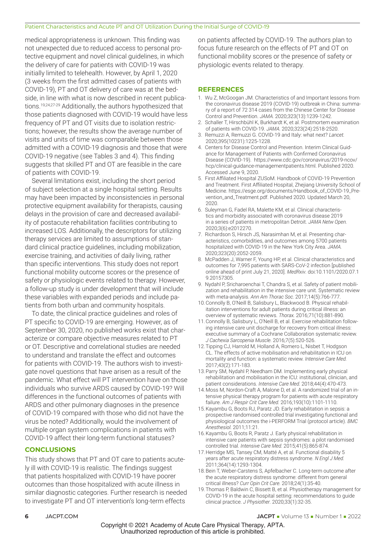#### Patient Characteristics and Acute PT and OT Utilization During the Initial Surge of COVID-19

medical appropriateness is unknown. This finding was not unexpected due to reduced access to personal protective equipment and novel clinical guidelines, in which the delivery of care for patients with COVID-19 was initially limited to telehealth. However, by April 1, 2020 (3 weeks from the first admitted cases of patients with COVID-19), PT and OT delivery of care was at the bedside, in line with what is now described in recent publications.19,24,27-29 Additionally, the authors hypothesized that those patients diagnosed with COVID-19 would have less frequency of PT and OT visits due to isolation restrictions; however, the results show the average number of visits and units of time was comparable between those admitted with a COVID-19 diagnosis and those that were COVID-19 negative (see Tables 3 and 4). This finding suggests that skilled PT and OT are feasible in the care of patients with COVID-19.

Several limitations exist, including the short period of subject selection at a single hospital setting. Results may have been impacted by inconsistencies in personal protective equipment availability for therapists, causing delays in the provision of care and decreased availability of postacute rehabilitation facilities contributing to increased LOS. Additionally, the descriptors for utilizing therapy services are limited to assumptions of standard clinical practice guidelines, including mobilization, exercise training, and activities of daily living, rather than specific interventions. This study does not report functional mobility outcome scores or the presence of safety or physiologic events related to therapy. However, a follow-up study is under development that will include these variables with expanded periods and include patients from both urban and community hospitals.

To date, the clinical practice guidelines and roles of PT specific to COVID-19 are emerging. However, as of September 30, 2020, no published works exist that characterize or compare objective measures related to PT or OT. Descriptive and correlational studies are needed to understand and translate the effect and outcomes for patients with COVID-19. The authors wish to investigate novel questions that have arisen as a result of the pandemic. What effect will PT intervention have on those individuals who survive ARDS caused by COVID-19? Will differences in the functional outcomes of patients with ARDS and other pulmonary diagnoses in the presence of COVID-19 compared with those who did not have the virus be noted? Additionally, would the involvement of multiple organ system complications in patients with COVID-19 affect their long-term functional statuses?

### **CONCLUSIONS**

This study shows that PT and OT care to patients acutely ill with COVID-19 is realistic. The findings suggest that patients hospitalized with COVID-19 have poorer outcomes than those hospitalized with acute illness in similar diagnostic categories. Further research is needed to investigate PT and OT intervention's long-term effects

on patients affected by COVID-19. The authors plan to focus future research on the effects of PT and OT on functional mobility scores or the presence of safety or physiologic events related to therapy.

#### **REFERENCES**

- 1. Wu Z, McGoogan JM. Characteristics of and Important lessons from the coronavirus disease 2019 (COVID-19) outbreak in China: summary of a report of 72 314 cases from the Chinese Center for Disease Control and Prevention. *JAMA.* 2020;323(13):1239-1242.
- 2. Schaller T, Hirschbühl K, Burkhardt K, et al. Postmortem examination of patients with COVID-19. *JAMA.* 2020;323(24):2518-2520.
- 3. Remuzzi A, Remuzzi G. COVID-19 and Italy: what next? *Lancet.* 2020;395(10231):1225-1228.
- 4. Centers for Disease Control and Prevention. Interim Clinical Guidance for Management of Patients with Confirmed Coronavirus [Disease \(COVID-19\). https://www.cdc.gov/coronavirus/2019-ncov/](https://www.cdc.gov/coronavirus/2019-ncov/hcp/clinical-guidance-managementpatients.html) hcp/clinical-guidance-managementpatients.html. Published 2020. Accessed June 9, 2020.
- 5. First Affiliated Hospital ZUSoM. Handbook of COVID-19 Prevention and Treatment. First Affiliated Hospital, Zhejiang University School of Medicine. https://esge.org/documents/Handbook\_of\_COVID-19\_Prevention\_and\_Treatment.pdf. Published 2020. Updated March 20, 2020.
- 6. Suleyman G, Fadel RA, Malette KM, et al. Clinical characteristics and morbidity associated with coronavirus disease 2019 in a series of patients in metropolitan Detroit. *JAMA Netw Open.* 2020;3(6):e2012270.
- 7. Richardson S, Hirsch JS, Narasimhan M, et al. Presenting characteristics, comorbidities, and outcomes among 5700 patients hospitalized with COVID-19 in the New York City Area. *JAMA.* 2020;323(20):2052-2059.
- 8. McPadden J, Warner F, Young HP, et al. Clinical characteristics and outcomes for 7,995 patients with SARS-CoV-2 infection [published online ahead of print July 21, 2020]. *MedRxiv.* doi:10.1101/2020.07.1 9.20157305.
- 9. Nydahl P, Sricharoenchai T, Chandra S, et al. Safety of patient mobilization and rehabilitation in the intensive care unit. Systematic review with meta-analysis. *Ann Am Thorac Soc.* 2017;14(5):766-777.
- 10.Connolly B, O'Neill B, Salisbury L, Blackwood B. Physical rehabilitation interventions for adult patients during critical illness: an overview of systematic reviews. *Thorax.* 2016;71(10):881-890.
- 11.Connolly B, Salisbury L, O'Neill B, et al. Exercise rehabilitation following intensive care unit discharge for recovery from critical illness: executive summary of a Cochrane Collaboration systematic review. *J Cachexia Sarcopenia Muscle.* 2016;7(5):520-526.
- 12.Tipping CJ, Harrold M, Holland A, Romero L, Nisbet T, Hodgson CL. The effects of active mobilisation and rehabilitation in ICU on mortality and function: a systematic review. *Intensive Care Med.* 2017;43(2):171-183.
- 13.Parry SM, Nydahl P, Needham DM. Implementing early physical rehabilitation and mobilisation in the ICU: institutional, clinician, and patient considerations. *Intensive Care Med.* 2018;44(4):470-473.
- 14.Moss M, Nordon-Craft A, Malone D, et al. A randomized trial of an intensive physical therapy program for patients with acute respiratory failure. *Am J Respir Crit Care Med.* 2016;193(10):1101-1110.
- 15.Kayambu G, Boots RJ, Paratz JD. Early rehabilitation in sepsis: a prospective randomised controlled trial investigating functional and physiological outcomes the i-PERFORM Trial (protocol article). *BMC Anesthesiol.* 2011;11:21.
- 16.Kayambu G, Boots R, Paratz J. Early physical rehabilitation in intensive care patients with sepsis syndromes: a pilot randomised controlled trial. *Intensive Care Med.* 2015;41(5):865-874.
- 17.Herridge MS, Tansey CM, Matté A, et al. Functional disability 5 years after acute respiratory distress syndrome. *N Engl J Med.* 2011;364(14):1293-1304.
- 18.Bein T, Weber-Carstens S, Apfelbacher C. Long-term outcome after the acute respiratory distress syndrome: different from general critical illness? *Curr Opin Crit Care.* 2018;24(1):35-40.
- 19.Thomas P, Baldwin C, Bissett B, et al. Physiotherapy management for COVID-19 in the acute hospital setting: recommendations to guide clinical practice. *J Physiother.* 2020;33(1):32-35.

Copyright © 2021 Academy of Acute Care Physical Therapy, APTA. Unauthorized reproduction of this article is prohibited.